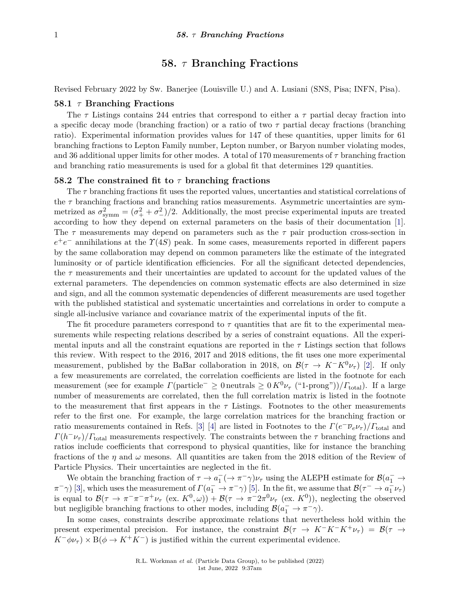# **58.** *τ* **Branching Fractions**

Revised February 2022 by Sw. Banerjee (Louisville U.) and A. Lusiani (SNS, Pisa; INFN, Pisa).

### **58.1** *τ* **Branching Fractions**

The *τ* Listings contains 244 entries that correspond to either a *τ* partial decay fraction into a specific decay mode (branching fraction) or a ratio of two *τ* partial decay fractions (branching ratio). Experimental information provides values for 147 of these quantities, upper limits for 61 branching fractions to Lepton Family number, Lepton number, or Baryon number violating modes, and 36 additional upper limits for other modes. A total of 170 measurements of *τ* branching fraction and branching ratio measurements is used for a global fit that determines 129 quantities.

#### **58.2 The constrained fit to** *τ* **branching fractions**

The *τ* branching fractions fit uses the reported values, uncertanties and statistical correlations of the *τ* branching fractions and branching ratios measurements. Asymmetric uncertainties are symmetrized as  $\sigma_{\text{symm}}^2 = (\sigma_+^2 + \sigma_-^2)/2$ . Additionally, the most precise experimental inputs are treated according to how they depend on external parameters on the basis of their documentation [\[1\]](#page-6-0). The *τ* measurements may depend on parameters such as the *τ* pair production cross-section in  $e^+e^-$  annihilations at the *Y*(4*S*) peak. In some cases, measurements reported in different papers by the same collaboration may depend on common parameters like the estimate of the integrated luminosity or of particle identification efficiencies. For all the significant detected dependencies, the  $\tau$  measurements and their uncertainties are updated to account for the updated values of the external parameters. The dependencies on common systematic effects are also determined in size and sign, and all the common systematic dependencies of different measurements are used together with the published statistical and systematic uncertainties and correlations in order to compute a single all-inclusive variance and covariance matrix of the experimental inputs of the fit.

The fit procedure parameters correspond to  $\tau$  quantities that are fit to the experimental measurements while respecting relations described by a series of constraint equations. All the experimental inputs and all the constraint equations are reported in the  $\tau$  Listings section that follows this review. With respect to the 2016, 2017 and 2018 editions, the fit uses one more experimental measurement, published by the BaBar collaboration in 2018, on  $\mathcal{B}(\tau \to K^-K^0\nu_{\tau})$  [\[2\]](#page-6-1). If only a few measurements are correlated, the correlation coefficients are listed in the footnote for each measurement (see for example  $\Gamma$ (particle<sup>-</sup>  $\geq 0$  neutrals  $\geq 0$  *K*<sup>0</sup>*ν*<sub>*τ*</sub> ("1-prong"))/ $\Gamma$ <sub>total</sub>). If a large number of measurements are correlated, then the full correlation matrix is listed in the footnote to the measurement that first appears in the  $\tau$  Listings. Footnotes to the other measurements refer to the first one. For example, the large correlation matrices for the branching fraction or ratio measurements contained in Refs. [\[3\]](#page-6-2) [\[4\]](#page-6-3) are listed in Footnotes to the  $\Gamma(e^{-}\overline{\nu}_e\nu_{\tau})/\Gamma_{\text{total}}$  and  $\Gamma(h^{-}\nu_{\tau})/\Gamma_{\text{total}}$  measurements respectively. The constraints between the  $\tau$  branching fractions and ratios include coefficients that correspond to physical quantities, like for instance the branching fractions of the *η* and *ω* mesons. All quantities are taken from the 2018 edition of the Review of Particle Physics. Their uncertainties are neglected in the fit.

We obtain the branching fraction of  $\tau \to a_1^- (\to \pi^- \gamma) \nu_\tau$  using the ALEPH estimate for  $\mathcal{B}(a_1^- \to a_2^- \nu_\tau)$ *π*<sup>-</sup>*γ*) [\[3\]](#page-6-2), which uses the measurement of  $\Gamma(a_1^- \to \pi^- \gamma)$  [\[5\]](#page-6-4). In the fit, we assume that  $\mathcal{B}(\tau^- \to a_1^- \nu_\tau)$ is equal to  $\mathcal{B}(\tau \to \pi^- \pi^+ \nu_\tau \text{ (ex. } K^0, \omega)) + \mathcal{B}(\tau \to \pi^- 2\pi^0 \nu_\tau \text{ (ex. } K^0))$ , neglecting the observed but negligible branching fractions to other modes, including  $\mathcal{B}(a_1^- \to \pi^- \gamma)$ .

In some cases, constraints describe approximate relations that nevertheless hold within the present experimental precision. For instance, the constraint  $\mathcal{B}(\tau \to K^-K^+K^+\nu_{\tau}) = \mathcal{B}(\tau \to$  $K^-\phi\nu_\tau$   $\times$  B( $\phi \rightarrow K^+K^-$ ) is justified within the current experimental evidence.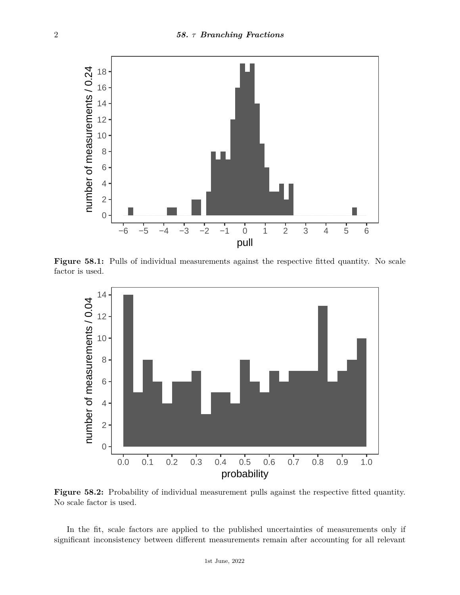

**Figure 58.1:** Pulls of individual measurements against the respective fitted quantity. No scale factor is used.



**Figure 58.2:** Probability of individual measurement pulls against the respective fitted quantity. No scale factor is used.

In the fit, scale factors are applied to the published uncertainties of measurements only if significant inconsistency between different measurements remain after accounting for all relevant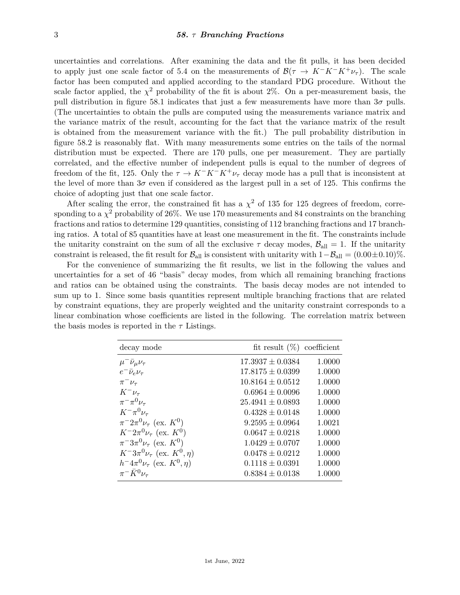uncertainties and correlations. After examining the data and the fit pulls, it has been decided to apply just one scale factor of 5.4 on the measurements of  $\mathcal{B}(\tau \to K^-K^-K^+\nu_{\tau})$ . The scale factor has been computed and applied according to the standard PDG procedure. Without the scale factor applied, the  $\chi^2$  probability of the fit is about 2%. On a per-measurement basis, the pull distribution in figure 58.1 indicates that just a few measurements have more than 3*σ* pulls. (The uncertainties to obtain the pulls are computed using the measurements variance matrix and the variance matrix of the result, accounting for the fact that the variance matrix of the result is obtained from the measurement variance with the fit.) The pull probability distribution in figure 58.2 is reasonably flat. With many measurements some entries on the tails of the normal distribution must be expected. There are 170 pulls, one per measurement. They are partially correlated, and the effective number of independent pulls is equal to the number of degrees of freedom of the fit, 125. Only the  $\tau \to K^- K^+ \nu_{\tau}$  decay mode has a pull that is inconsistent at the level of more than  $3\sigma$  even if considered as the largest pull in a set of 125. This confirms the choice of adopting just that one scale factor.

After scaling the error, the constrained fit has a  $\chi^2$  of 135 for 125 degrees of freedom, corresponding to a  $\chi^2$  probability of 26%. We use 170 measurements and 84 constraints on the branching fractions and ratios to determine 129 quantities, consisting of 112 branching fractions and 17 branching ratios. A total of 85 quantities have at least one measurement in the fit. The constraints include the unitarity constraint on the sum of all the exclusive  $\tau$  decay modes,  $\mathcal{B}_{all} = 1$ . If the unitarity constraint is released, the fit result for  $\mathcal{B}_{all}$  is consistent with unitarity with  $1-\mathcal{B}_{all} = (0.00 \pm 0.10)\%$ .

For the convenience of summarizing the fit results, we list in the following the values and uncertainties for a set of 46 "basis" decay modes, from which all remaining branching fractions and ratios can be obtained using the constraints. The basis decay modes are not intended to sum up to 1. Since some basis quantities represent multiple branching fractions that are related by constraint equations, they are properly weighted and the unitarity constraint corresponds to a linear combination whose coefficients are listed in the following. The correlation matrix between the basis modes is reported in the *τ* Listings.

| decay mode                                     | fit result $(\%)$ coefficient |        |
|------------------------------------------------|-------------------------------|--------|
| $\mu^- \bar{\nu}_\mu \nu_\tau$                 | $17.3937 \pm 0.0384$          | 1.0000 |
| $e^- \bar{\nu}_e \nu_\tau$                     | $17.8175 \pm 0.0399$          | 1.0000 |
| $\pi^-\nu_\tau$                                | $10.8164 \pm 0.0512$          | 1.0000 |
| $K^-\nu_\tau$                                  | $0.6964 \pm 0.0096$           | 1.0000 |
| $\pi^{-} \pi^{0} \nu_{\tau}$                   | $25.4941 \pm 0.0893$          | 1.0000 |
| $K^-\pi^0\nu_\tau$                             | $0.4328 \pm 0.0148$           | 1.0000 |
| $\pi^{-}2\pi^{0}\nu_{\tau}$ (ex. $K^{0}$ )     | $9.2595 \pm 0.0964$           | 1.0021 |
| $K^- 2\pi^0 \nu_\tau$ (ex. $K^0$ )             | $0.0647 \pm 0.0218$           | 1.0000 |
| $\pi^{-}3\pi^{0}\nu_{\tau}$ (ex. $K^{0}$ )     | $1.0429 \pm 0.0707$           | 1.0000 |
| $K^{-}3\pi^{0}\nu_{\tau}$ (ex. $K^{0}, \eta$ ) | $0.0478 \pm 0.0212$           | 1.0000 |
| $h^{-}4\pi^{0}\nu_{\tau}$ (ex. $K^{0}, \eta$ ) | $0.1118 \pm 0.0391$           | 1.0000 |
| $\pi^- \bar{K}^0 \nu_\tau$                     | $0.8384 \pm 0.0138$           | 1.0000 |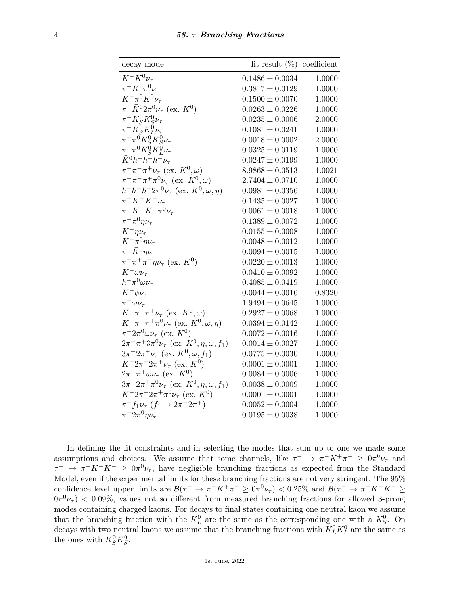| decay mode                                                                                                                                                                 | fit result $(\%)$ coefficient |        |
|----------------------------------------------------------------------------------------------------------------------------------------------------------------------------|-------------------------------|--------|
| $K^-K^0\nu_\tau$                                                                                                                                                           | $0.1486 \pm 0.0034$           | 1.0000 |
| $\pi^- \bar{K}^0 \pi^0 \nu_\tau$                                                                                                                                           | $0.3817 \pm 0.0129$           | 1.0000 |
| $K^{-} \pi^{0} K^{0} \nu_{\tau}$                                                                                                                                           | $0.1500 \pm 0.0070$           | 1.0000 |
| $\pi^{-} \bar{K}^{0} 2 \pi^{0} \nu_{\tau}$ (ex. $K^{0}$ )                                                                                                                  | $0.0263 \pm 0.0226$           | 1.0000 |
| $\pi^- K^0_S K^0_S \nu_\tau$                                                                                                                                               | $0.0235 \pm 0.0006$           | 2.0000 |
| $\pi^-K^0_SK^0_L\nu_\tau$                                                                                                                                                  | $0.1081 \pm 0.0241$           | 1.0000 |
| $\pi^-\pi^0\!\!\!\!\phantom{M}^0_S\!\!\!\!\!\phantom{M}^0_S\!\!\!\!\phantom{M}^0_S\!\!\!\!\phantom{M}^0_S\!\!\!\!\phantom{\tilde{\Gamma}}\!\!\!\!\phantom{\tilde{\Gamma}}$ | $0.0018 \pm 0.0002$           | 2.0000 |
| $\pi^-\pi^0 K^{\stackrel{\sim}{0}}_S K^{\stackrel{\sim}{0}}_L \nu_\tau$                                                                                                    | $0.0325 \pm 0.0119$           | 1.0000 |
| $\bar{K}^0 h^- h^- h^+ \nu_{\tau}$                                                                                                                                         | $0.0247 \pm 0.0199$           | 1.0000 |
| $\pi^-\pi^-\pi^+\nu_\tau$ (ex. $K^0,\omega$ )                                                                                                                              | $8.9868 \pm 0.0513$           | 1.0021 |
| $\pi^-\pi^-\pi^+\pi^0\nu_\tau$ (ex. $K^0,\omega$ )                                                                                                                         | $2.7404 \pm 0.0710$           | 1.0000 |
| $h^-h^-h^+2\pi^0\nu_\tau$ (ex. $K^0, \omega, \eta$ )                                                                                                                       | $0.0981 \pm 0.0356$           | 1.0000 |
| $\pi^- K^- K^+ \nu_{\tau}$                                                                                                                                                 | $0.1435 \pm 0.0027$           | 1.0000 |
| $\pi^- K^- K^+ \pi^0 \nu_{\tau}$                                                                                                                                           | $0.0061 \pm 0.0018$           | 1.0000 |
| $\pi^{-} \pi^{0} \eta \nu_{\tau}$                                                                                                                                          | $0.1389 \pm 0.0072$           | 1.0000 |
| $K^-\eta\nu_\tau$                                                                                                                                                          | $0.0155 \pm 0.0008$           | 1.0000 |
| $K^-\pi^0\eta\nu_\tau$                                                                                                                                                     | $0.0048 \pm 0.0012$           | 1.0000 |
| $\pi^- \bar{K}^0 \eta \nu_\tau$                                                                                                                                            | $0.0094 \pm 0.0015$           | 1.0000 |
| $\pi^{-} \pi^{+} \pi^{-} \eta \nu_{\tau}$ (ex. $K^{0}$ )                                                                                                                   | $0.0220 \pm 0.0013$           | 1.0000 |
| $K^-\omega\nu_\tau$                                                                                                                                                        | $0.0410 \pm 0.0092$           | 1.0000 |
| $h^-\pi^0\omega\nu_\tau$                                                                                                                                                   | $0.4085 \pm 0.0419$           | 1.0000 |
| $K^- \phi \nu_\tau$                                                                                                                                                        | $0.0044 \pm 0.0016$           | 0.8320 |
| $\pi^-\omega\nu_\tau$                                                                                                                                                      | $1.9494 \pm 0.0645$           | 1.0000 |
| $K^{-}\pi^{-}\pi^{+}\nu_{\tau}$ (ex. $K^{0}, \omega$ )                                                                                                                     | $0.2927 \pm 0.0068$           | 1.0000 |
| $K^-\pi^-\pi^+\pi^0\nu_\tau$ (ex. $K^0, \omega, \eta$ )                                                                                                                    | $0.0394 \pm 0.0142$           | 1.0000 |
| $\pi^- 2\pi^0 \omega \nu_\tau$ (ex. $K^0$ )                                                                                                                                | $0.0072 \pm 0.0016$           | 1.0000 |
| $2\pi^{-}\pi^{+}3\pi^{0}\nu_{\tau}$ (ex. $K^{0}, \eta, \omega, f_{1}$ )                                                                                                    | $0.0014 \pm 0.0027$           | 1.0000 |
| $3\pi^{-}2\pi^{+}\nu_{\tau}$ (ex. $K^{0}, \omega, f_{1}$ )                                                                                                                 | $0.0775 \pm 0.0030$           | 1.0000 |
| $K^-2\pi^-2\pi^+\nu_\tau$ (ex. $K^0$ )                                                                                                                                     | $0.0001 \pm 0.0001$           | 1.0000 |
| $2\pi^{-}\pi^{+}\omega\nu_{\tau}$ (ex. $K^{0}$ )                                                                                                                           | $0.0084 \pm 0.0006$           | 1.0000 |
| $3\pi^{-}2\pi^{+}\pi^{0}\nu_{\tau}$ (ex. $K^{0}, \eta, \omega, f_{1}$ )                                                                                                    | $0.0038 \pm 0.0009$           | 1.0000 |
| $K^-2\pi^-2\pi^+\pi^0\nu_\tau$ (ex. $K^0$ )                                                                                                                                | $0.0001 \pm 0.0001$           | 1.0000 |
| $\pi^- f_1 \nu_\tau$ $(f_1 \to 2\pi^- 2\pi^+)$                                                                                                                             | $0.0052 \pm 0.0004$           | 1.0000 |
| $\pi^{-}2\pi^{0}\eta\nu_{\tau}$                                                                                                                                            | $0.0195 \pm 0.0038$           | 1.0000 |

In defining the fit constraints and in selecting the modes that sum up to one we made some assumptions and choices. We assume that some channels, like  $\tau^- \to \pi^- K^+ \pi^- \geq 0 \pi^0 \nu_\tau$  and  $\tau^ \to \pi^+ K^- K^ \geq 0 \pi^0 \nu_\tau$ , have negligible branching fractions as expected from the Standard Model, even if the experimental limits for these branching fractions are not very stringent. The 95% confidence level upper limits are  $\mathcal{B}(\tau^- \to \pi^- K^+ \pi^- \geq 0 \pi^0 \nu_\tau) < 0.25\%$  and  $\mathcal{B}(\tau^- \to \pi^+ K^- K^- \geq 0 \pi^0 \nu_\tau)$  $0\pi^{0}\nu_{\tau}$   $< 0.09\%$ , values not so different from measured branching fractions for allowed 3-prong modes containing charged kaons. For decays to final states containing one neutral kaon we assume that the branching fraction with the  $K^0_L$  are the same as the corresponding one with a  $K^0_S$ . On decays with two neutral kaons we assume that the branching fractions with  $K^0_L K^0_L$  are the same as the ones with  $K_S^0 K_S^0$ .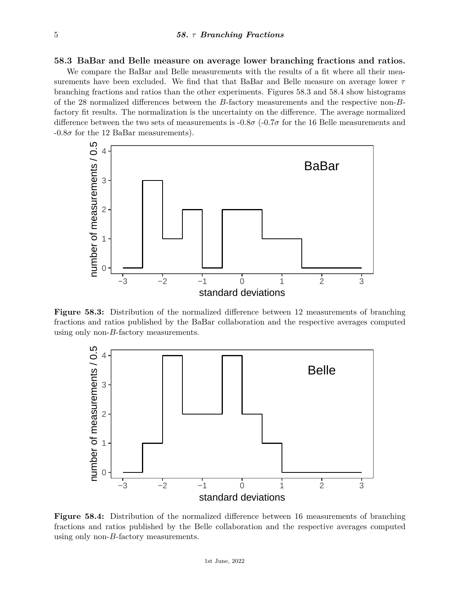## **58.3 BaBar and Belle measure on average lower branching fractions and ratios.**

We compare the BaBar and Belle measurements with the results of a fit where all their measurements have been excluded. We find that that BaBar and Belle measure on average lower *τ* branching fractions and ratios than the other experiments. Figures 58.3 and 58.4 show histograms of the 28 normalized differences between the *B*-factory measurements and the respective non-*B*factory fit results. The normalization is the uncertainty on the difference. The average normalized difference between the two sets of measurements is -0.8*σ* (-0.7*σ* for the 16 Belle measurements and  $-0.8\sigma$  for the 12 BaBar measurements).



**Figure 58.3:** Distribution of the normalized difference between 12 measurements of branching fractions and ratios published by the BaBar collaboration and the respective averages computed using only non-*B*-factory measurements.



**Figure 58.4:** Distribution of the normalized difference between 16 measurements of branching fractions and ratios published by the Belle collaboration and the respective averages computed using only non-*B*-factory measurements.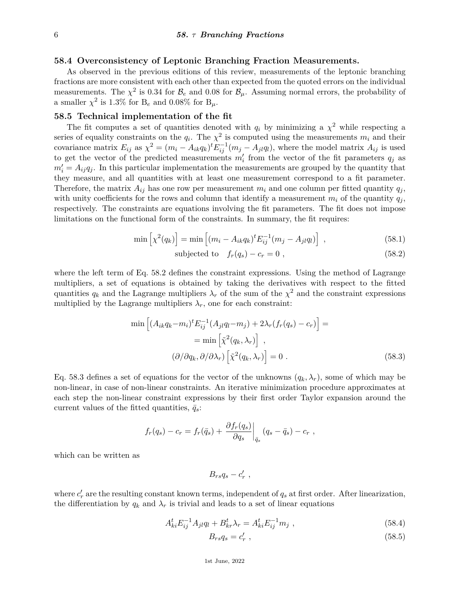### **58.4 Overconsistency of Leptonic Branching Fraction Measurements.**

As observed in the previous editions of this review, measurements of the leptonic branching fractions are more consistent with each other than expected from the quoted errors on the individual measurements. The  $\chi^2$  is 0.34 for  $\mathcal{B}_e$  and 0.08 for  $\mathcal{B}_\mu$ . Assuming normal errors, the probability of a smaller  $\chi^2$  is 1.3% for B<sub>e</sub> and 0.08% for B<sub>µ</sub>.

### **58.5 Technical implementation of the fit**

The fit computes a set of quantities denoted with  $q_i$  by minimizing a  $\chi^2$  while respecting a series of equality constraints on the  $q_i$ . The  $\chi^2$  is computed using the measurements  $m_i$  and their covariance matrix  $E_{ij}$  as  $\chi^2 = (m_i - A_{ik}q_k)^t E_{ij}^{-1}(m_j - A_{jl}q_l)$ , where the model matrix  $A_{ij}$  is used to get the vector of the predicted measurements  $m_i'$  from the vector of the fit parameters  $q_j$  as  $m'_{i} = A_{ij}q_{j}$ . In this particular implementation the measurements are grouped by the quantity that they measure, and all quantities with at least one measurement correspond to a fit parameter. Therefore, the matrix  $A_{ij}$  has one row per measurement  $m_i$  and one column per fitted quantity  $q_j$ , with unity coefficients for the rows and column that identify a measurement  $m_i$  of the quantity  $q_j$ , respectively. The constraints are equations involving the fit parameters. The fit does not impose limitations on the functional form of the constraints. In summary, the fit requires:

$$
\min\left[\chi^2(q_k)\right] = \min\left[ (m_i - A_{ik}q_k)^t E_{ij}^{-1} (m_j - A_{jl}q_l) \right],
$$
\n(58.1)

$$
subjected to \t fr(qs) - cr = 0 , \t(58.2)
$$

where the left term of Eq. 58.2 defines the constraint expressions. Using the method of Lagrange multipliers, a set of equations is obtained by taking the derivatives with respect to the fitted quantities  $q_k$  and the Lagrange multipliers  $\lambda_r$  of the sum of the  $\chi^2$  and the constraint expressions multiplied by the Lagrange multipliers  $\lambda_r$ , one for each constraint:

$$
\min\left[ (A_{ik}q_k - m_i)^t E_{ij}^{-1} (A_{jl}q_l - m_j) + 2\lambda_r (f_r(q_s) - c_r) \right] =
$$
  
= 
$$
\min\left[ \tilde{\chi}^2(q_k, \lambda_r) \right],
$$
  

$$
(\partial/\partial q_k, \partial/\partial \lambda_r) \left[ \tilde{\chi}^2(q_k, \lambda_r) \right] = 0.
$$
 (58.3)

Eq. 58.3 defines a set of equations for the vector of the unknowns  $(q_k, \lambda_r)$ , some of which may be non-linear, in case of non-linear constraints. An iterative minimization procedure approximates at each step the non-linear constraint expressions by their first order Taylor expansion around the current values of the fitted quantities,  $\bar{q}_s$ :

$$
f_r(q_s) - c_r = f_r(\bar{q}_s) + \left. \frac{\partial f_r(q_s)}{\partial q_s} \right|_{\bar{q}_s} (q_s - \bar{q}_s) - c_r,
$$

which can be written as

$$
B_{rs}q_s-c'_r,
$$

where  $c'_r$  are the resulting constant known terms, independent of  $q_s$  at first order. After linearization, the differentiation by  $q_k$  and  $\lambda_r$  is trivial and leads to a set of linear equations

$$
A_{ki}^t E_{ij}^{-1} A_{jl} q_l + B_{kr}^t \lambda_r = A_{ki}^t E_{ij}^{-1} m_j , \qquad (58.4)
$$

$$
B_{rs}q_s = c'_r \t\t(58.5)
$$